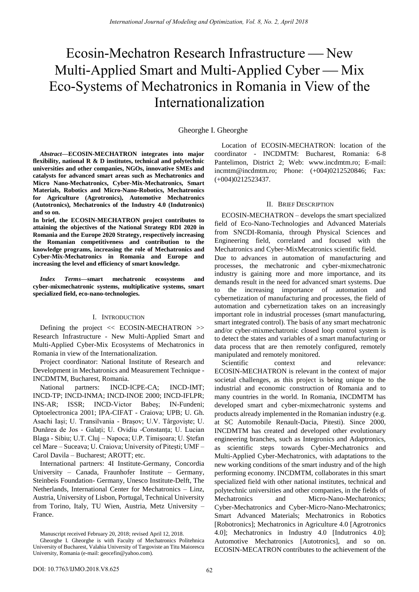# Ecosin-Mechatron Research Infrastructure — New Multi-Applied Smart and Multi-Applied Cyber — Mix Eco-Systems of Mechatronics in Romania in View of the Internationalization

## Gheorghe I. Gheorghe

*Abstract***—ECOSIN-MECHATRON integrates into major flexibility, national R & D institutes, technical and polytechnic universities and other companies, NGOs, innovative SMEs and catalysts for advanced smart areas such as Mechatronics and Micro Nano-Mechatronics, Cyber-Mix-Mechatronics, Smart Materials, Robotics and Micro-Nano-Robotics, Mechatronics for Agriculture (Agrotronics), Automotive Mechatronics (Autotronics), Mechatronics of the Industry 4.0 (Indutronics) and so on.**

**In brief, the ECOSIN-MECHATRON project contributes to attaining the objectives of the National Strategy RDI 2020 in Romania and the Europe 2020 Strategy, respectively increasing the Romanian competitiveness and contribution to the knowledge programs, increasing the role of Mechatronics and Cyber-Mix-Mechatronics in Romania and Europe and increasing the level and efficiency of smart knowledge.** 

*Index Terms***—smart mechatronic ecosystems and cyber-mixmechatronic systems, multiplicative systems, smart specialized field, eco-nano-technologies.** 

#### I. INTRODUCTION

Defining the project << ECOSIN-MECHATRON >> Research Infrastructure - New Multi-Applied Smart and Multi-Applied Cyber-Mix Ecosystems of Mechatronics in Romania in view of the Internationalization.

Project coordinator: National Institute of Research and Development in Mechatronics and Measurement Technique - INCDMTM, Bucharest, Romania.

National partners: INCD-ICPE-CA; INCD-IMT; INCD-TP; INCD-INMA; INCD-INOE 2000; INCD-IFLPR; INS-AR; ISSR; INCD-Victor Babeș; IN-Fundeni; Optoelectronica 2001; IPA-CIFAT - Craiova; UPB; U. Gh. Asachi Iași; U. Transilvania - Brașov; U.V. Târgoviște; U. Dunărea de Jos - Galați; U. Ovidiu -Constanța; U. Lucian Blaga - Sibiu; U.T. Cluj – Napoca; U.P. Timișoara; U. Ștefan cel Mare – Suceava; U. Craiova; University of Pitești; UMF – Carol Davila – Bucharest; AROTT; etc.

International partners: 4I Institute-Germany, Concordia University – Canada, Fraunhofer Institute – Germany, Steinbeis Foundation- Germany, Unesco Institute-Delft, The Netherlands, International Center for Mechatronics – Linz, Austria, University of Lisbon, Portugal, Technical University from Torino, Italy, TU Wien, Austria, Metz University – France.

Manuscript received February 20, 2018; revised April 12, 2018.

Location of ECOSIN-MECHATRON: location of the coordinator - INCDMTM: Bucharest, Romania: 6-8 Pantelimon, District 2; Web: [www.incdmtm.ro;](http://www.incdmtm.ro/) E-mail: [incmtm@incdmtm.ro;](mailto:incmtm@incdmtm.ro) Phone: (+004)0212520846; Fax: (+004)0212523437.

#### II. BRIEF DESCRIPTION

ECOSIN-MECHATRON – develops the smart specialized field of Eco-Nano-Technologies and Advanced Materials from SNCDI-Romania, through Physical Sciences and Engineering field, correlated and focused with the Mechatronics and Cyber-MixMecatronics scientific field.

Due to advances in automation of manufacturing and processes, the mechatronic and cyber-mixmechatronic industry is gaining more and more importance, and its demands result in the need for advanced smart systems. Due to the increasing importance of automation and cybernetization of manufacturing and processes, the field of automation and cybernetization takes on an increasingly important role in industrial processes (smart manufacturing, smart integrated control). The basis of any smart mechatronic and/or cyber-mixmechatronic closed loop control system is to detect the states and variables of a smart manufacturing or data process that are then remotely configured, remotely manipulated and remotely monitored.

Scientific context and relevance: ECOSIN-MECHATRON is relevant in the context of major societal challenges, as this project is being unique to the industrial and economic construction of Romania and to many countries in the world. In Romania, INCDMTM has developed smart and cyber-mixmechatronic systems and products already implemented in the Romanian industry (e.g. at SC Automobile Renault-Dacia, Pitesti). Since 2000, INCDMTM has created and developed other evolutionary engineering branches, such as Integronics and Adaptronics, as scientific steps towards Cyber-Mechatronics and Multi-Applied Cyber-Mechatronics, with adaptations to the new working conditions of the smart industry and of the high performing economy. INCDMTM, collaborates in this smart specialized field with other national institutes, technical and polytechnic universities and other companies, in the fields of Mechatronics and Micro-Nano-Mechatronics; Cyber-Mechatronics and Cyber-Micro-Nano-Mechatronics; Smart Advanced Materials; Mechatronics in Robotics [Robotronics]; Mechatronics in Agriculture 4.0 [Agrotronics 4.0]; Mechatronics in Industry 4.0 [Indutronics 4.0]; Automotive Mechatronics [Autotronics], and so on. ECOSIN-MECATRON contributes to the achievement of the

Gheorghe I. Gheorghe is with Faculty of Mechatronics Politehnica University of Bucharest, Valahia University of Targoviste an Titu Maiorescu University, Romania (e-mail: [geocefin@yahoo.com\)](http://mail.ym.163.com/jy3/compose/main.jsp?urlfrom=..%2fread%2fread.jsp%3foffset%3d3%26mid%3dAJQAvwBeAXPK81bBSTkfR4ra%26sid%3d80bAL7o8T6t4j9A2R0DU*Q5NF7EnEX6N%26fid%3d1%26fr%3dfolder1&sid=80bAL7o8T6t4j9A2R0DU*Q5NF7EnEX6N&to=geocefin@yahoo.com).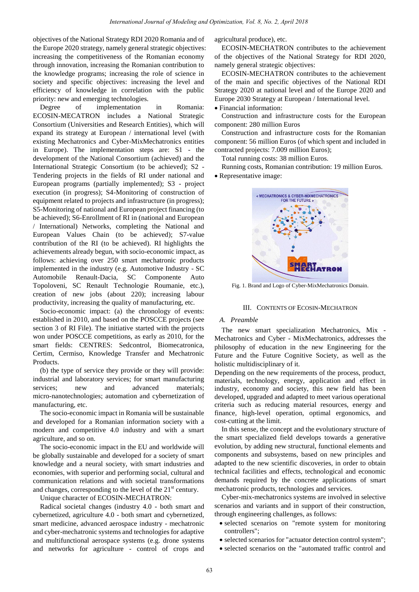objectives of the National Strategy RDI 2020 Romania and of the Europe 2020 strategy, namely general strategic objectives: increasing the competitiveness of the Romanian economy through innovation, increasing the Romanian contribution to the knowledge programs; increasing the role of science in society and specific objectives: increasing the level and efficiency of knowledge in correlation with the public priority: new and emerging technologies.

Degree of implementation in Romania: ECOSIN-MECATRON includes a National Strategic Consortium (Universities and Research Entities), which will expand its strategy at European / international level (with existing Mechatronics and Cyber-MixMechatronics entities in Europe). The implementation steps are: S1 - the development of the National Consortium (achieved) and the International Strategic Consortium (to be achieved); S2 - Tendering projects in the fields of RI under national and European programs (partially implemented); S3 - project execution (in progress); S4-Monitoring of construction of equipment related to projects and infrastructure (in progress); S5-Monitoring of national and European project financing (to be achieved); S6-Enrollment of RI in (national and European / International) Networks, completing the National and European Values Chain (to be achieved); S7-value contribution of the RI (to be achieved). RI highlights the achievements already begun, with socio-economic impact, as follows: achieving over 250 smart mechatronic products implemented in the industry (e.g. Automotive Industry - SC Automobile Renault-Dacia, SC Componente Auto Topoloveni, SC Renault Technologie Roumanie, etc.), creation of new jobs (about 220); increasing labour productivity, increasing the quality of manufacturing, etc.

Socio-economic impact: (a) the chronology of events: established in 2010, and based on the POSCCE projects (see section 3 of RI File). The initiative started with the projects won under POSCCE competitions, as early as 2010, for the smart fields: CENTRES: Sedcontrol, Biomecatronica, Certim, Cermiso, Knowledge Transfer and Mechatronic Products.

(b) the type of service they provide or they will provide: industrial and laboratory services; for smart manufacturing services; new and advanced materials; micro-nanotechnologies; automation and cybernetization of manufacturing, etc.

The socio-economic impact in Romania will be sustainable and developed for a Romanian information society with a modern and competitive 4.0 industry and with a smart agriculture, and so on.

The socio-economic impact in the EU and worldwide will be globally sustainable and developed for a society of smart knowledge and a neural society, with smart industries and economies, with superior and performing social, cultural and communication relations and with societal transformations and changes, corresponding to the level of the  $21<sup>st</sup>$  century.

Unique character of ECOSIN-MECHATRON:

Radical societal changes (industry 4.0 - both smart and cybernetized, agriculture 4.0 - both smart and cybernetized, smart medicine, advanced aerospace industry - mechatronic and cyber-mechatronic systems and technologies for adaptive and multifunctional aerospace systems (e.g. drone systems and networks for agriculture - control of crops and agricultural produce), etc.

ECOSIN-MECHATRON contributes to the achievement of the objectives of the National Strategy for RDI 2020, namely general strategic objectives:

ECOSIN-MECHATRON contributes to the achievement of the main and specific objectives of the National RDI Strategy 2020 at national level and of the Europe 2020 and Europe 2030 Strategy at European / International level.

Financial information:

Construction and infrastructure costs for the European component: 280 million Euros

Construction and infrastructure costs for the Romanian component: 56 million Euros (of which spent and included in contracted projects: 7.009 million Euros);

Total running costs: 38 million Euros.

Running costs, Romanian contribution: 19 million Euros.

• Representative image:



Fig. 1. Brand and Logo of Cyber-MixMechatronics Domain.

#### III. CONTENTS OF ECOSIN-MECHATRON

# *A. Preamble*

The new smart specialization Mechatronics, Mix - Mechatronics and Cyber - MixMechatronics, addresses the philosophy of education in the new Engineering for the Future and the Future Cognitive Society, as well as the holistic multidisciplinary of it.

Depending on the new requirements of the process, product, materials, technology, energy, application and effect in industry, economy and society, this new field has been developed, upgraded and adapted to meet various operational criteria such as reducing material resources, energy and finance, high-level operation, optimal ergonomics, and cost-cutting at the limit.

In this sense, the concept and the evolutionary structure of the smart specialized field develops towards a generative evolution, by adding new structural, functional elements and components and subsystems, based on new principles and adapted to the new scientific discoveries, in order to obtain technical facilities and effects, technological and economic demands required by the concrete applications of smart mechatronic products, technologies and services.

Cyber-mix-mechatronics systems are involved in selective scenarios and variants and in support of their construction, through engineering challenges, as follows:

- selected scenarios on "remote system for monitoring controllers";
- selected scenarios for "actuator detection control system";
- selected scenarios on the "automated traffic control and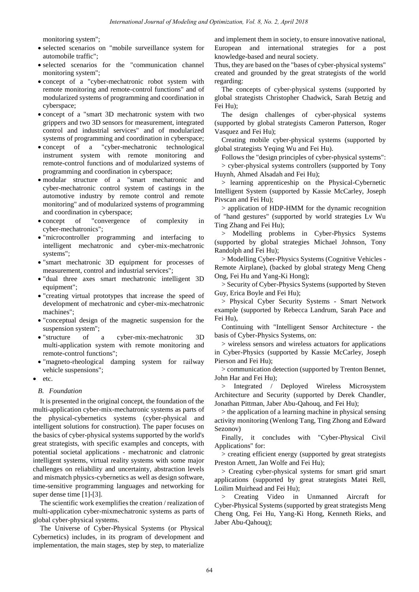monitoring system";

- selected scenarios on "mobile surveillance system for automobile traffic";
- selected scenarios for the "communication channel monitoring system";
- concept of a "cyber-mechatronic robot system with remote monitoring and remote-control functions" and of modularized systems of programming and coordination in cyberspace;
- concept of a "smart 3D mechatronic system with two grippers and two 3D sensors for measurement, integrated control and industrial services" and of modularized systems of programming and coordination in cyberspace;
- concept of a "cyber-mechatronic technological instrument system with remote monitoring and remote-control functions and of modularized systems of programming and coordination in cyberspace;
- modular structure of a "smart mechatronic and cyber-mechatronic control system of castings in the automotive industry by remote control and remote monitoring" and of modularized systems of programming and coordination in cyberspace;
- concept of "convergence of complexity in cyber-mechatronics";
- "microcontroller programming and interfacing to intelligent mechatronic and cyber-mix-mechatronic systems";
- "smart mechatronic 3D equipment for processes of measurement, control and industrial services";
- "dual three axes smart mechatronic intelligent 3D equipment";
- "creating virtual prototypes that increase the speed of development of mechatronic and cyber-mix-mechatronic machines";
- "conceptual design of the magnetic suspension for the suspension system";
- "structure of a cyber-mix-mechatronic 3D multi-application system with remote monitoring and remote-control functions";
- "magneto-rheological damping system for railway vehicle suspensions";
- etc.

# *B. Foundation*

It is presented in the original concept, the foundation of the multi-application cyber-mix-mechatronic systems as parts of the physical-cybernetics systems (cyber-physical and intelligent solutions for construction). The paper focuses on the basics of cyber-physical systems supported by the world's great strategists, with specific examples and concepts, with potential societal applications - mechatronic and clatronic intelligent systems, virtual reality systems with some major challenges on reliability and uncertainty, abstraction levels and mismatch physics-cybernetics as well as design software, time-sensitive programming languages and networking for super dense time [1]-[3].

The scientific work exemplifies the creation / realization of multi-application cyber-mixmechatronic systems as parts of global cyber-physical systems.

The Universe of Cyber-Physical Systems (or Physical Cybernetics) includes, in its program of development and implementation, the main stages, step by step, to materialize

and implement them in society, to ensure innovative national, European and international strategies for a post knowledge-based and neural society.

Thus, they are based on the "bases of cyber-physical systems" created and grounded by the great strategists of the world regarding:

The concepts of cyber-physical systems (supported by global strategists Christopher Chadwick, Sarah Betzig and Fei Hu);

The design challenges of cyber-physical systems (supported by global strategists Cameron Patterson, Roger Vasquez and Fei Hu);

Creating mobile cyber-physical systems (supported by global strategists Yeqing Wu and Fei Hu).

Follows the "design principles of cyber-physical systems": > cyber-physical systems controllers (supported by Tony Huynh, Ahmed Alsadah and Fei Hu);

> learning apprenticeship on the Physical-Cybernetic Intelligent System (supported by Kassie McCarley, Joseph Pivscan and Fei Hu);

> application of HDP-HMM for the dynamic recognition of "hand gestures" (supported by world strategies Lv Wu Ting Zhang and Fei Hu);

> Modelling problems in Cyber-Physics Systems (supported by global strategies Michael Johnson, Tony Randolph and Fei Hu);

> Modelling Cyber-Physics Systems (Cognitive Vehicles - Remote Airplane), (backed by global strategy Meng Cheng Ong, Fei Hu and Yang-Ki Hong);

> Security of Cyber-Physics Systems (supported by Steven Guy, Erica Boyle and Fei Hu);

> Physical Cyber Security Systems - Smart Network example (supported by Rebecca Landrum, Sarah Pace and Fei Hu),

Continuing with "Intelligent Sensor Architecture - the basis of Cyber-Physics Systems, on:

> wireless sensors and wireless actuators for applications in Cyber-Physics (supported by Kassie McCarley, Joseph Pierson and Fei Hu);

> communication detection (supported by Trenton Bennet, John Har and Fei Hu);

> Integrated / Deployed Wireless Microsystem Architecture and Security (supported by Derek Chandler, Jonathan Pittman, Jaber Abu-Qahouq, and Fei Hu);

> the application of a learning machine in physical sensing activity monitoring (Wenlong Tang, Ting Zhong and Edward Sezonov)

Finally, it concludes with "Cyber-Physical Civil Applications" for:

> creating efficient energy (supported by great strategists Preston Arnett, Jan Wolfe and Fei Hu);

> Creating cyber-physical systems for smart grid smart applications (supported by great strategists Matei Rell, Loilim Muirhead and Fei Hu);

> Creating Video in Unmanned Aircraft for Cyber-Physical Systems (supported by great strategists Meng Cheng Ong, Fei Hu, Yang-Ki Hong, Kenneth Rieks, and Jaber Abu-Qahouq);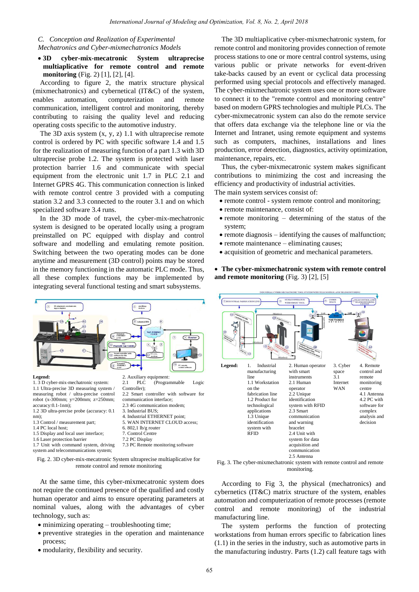### *C. Conception and Realization of Experimental Mechatronics and Cyber-mixmechatronics Models*

 **3D cyber-mix-mecatronic System ultraprecise multiaplicative for remote control and remote monitoring** (Fig. 2) [1], [2], [4].

According to figure 2, the matrix structure physical (mixmechatronics) and cybernetical (IT&C) of the system, enables automation, computerization and remote communication, intelligent control and monitoring, thereby contributing to raising the quality level and reducing operating costs specific to the automotive industry.

The 3D axis system  $(x, y, z)$  1.1 with ultraprecise remote control is ordered by PC with specific software 1.4 and 1.5 for the realization of measuring function of a part 1.3 with 3D ultraprecise probe 1.2. The system is protected with laser protection barrier 1.6 and communicate with special equipment from the electronic unit 1.7 in PLC 2.1 and Internet GPRS 4G. This communication connection is linked with remote control centre 3 provided with a computing station 3.2 and 3.3 connected to the router 3.1 and on which specialized software 3.4 runs.

In the 3D mode of travel, the cyber-mix-mechatronic system is designed to be operated locally using a program preinstalled on PC equipped with display and control software and modelling and emulating remote position. Switching between the two operating modes can be done anytime and measurement (3D control) points may be stored in the memory functioning in the automatic PLC mode. Thus, all these complex functions may be implemented by integrating several functional testing and smart subsystems.



- 1.5 Display and local user interface;
- 1.6 Laser protection barrier

1.7 Unit with command system, driving system and telecommunications system;

Fig. 2. 3D cyber-mix-mecatronic System ultraprecise multiaplicative for

remote control and remote monitoring

7.2 PC Display

7.3 PC Remote monitoring software

At the same time, this cyber-mixmecatronic system does not require the continued presence of the qualified and costly human operator and aims to ensure operating parameters at nominal values, along with the advantages of cyber technology, such as:

- minimizing operating troubleshooting time;
- preventive strategies in the operation and maintenance process;
- modularity, flexibility and security.

The 3D multiaplicative cyber-mixmechatronic system, for remote control and monitoring provides connection of remote process stations to one or more central control systems, using various public or private networks for event-driven take-backs caused by an event or cyclical data processing performed using special protocols and effectively managed. The cyber-mixmechatronic system uses one or more software to connect it to the "remote control and monitoring centre" based on modern GPRS technologies and multiple PLCs. The cyber-mixmecatronic system can also do the remote service that offers data exchange via the telephone line or via the Internet and Intranet, using remote equipment and systems such as computers, machines, installations and lines production, error detection, diagnostics, activity optimization, maintenance, repairs, etc.

Thus, the cyber-mixmecatronic system makes significant contributions to minimizing the cost and increasing the efficiency and productivity of industrial activities. The main system services consist of:

- remote control system remote control and monitoring;
- remote maintenance, consist of:
- $\bullet$  remote monitoring determining of the status of the system;
- $\bullet$  remote diagnosis identifying the causes of malfunction;
- remote maintenance eliminating causes;
- acquisition of geometric and mechanical parameters.

 **The cyber-mixmechatronic system with remote control and remote monitoring** (Fig. 3) [2], [5]



monitoring.

According to Fig 3, the physical (mechatronics) and cybernetics (IT&C) matrix structure of the system, enables automation and computerization of remote processes (remote control and remote monitoring) of the industrial manufacturing line.

The system performs the function of protecting workstations from human errors specific to fabrication lines (1.1) in the series in the industry, such as automotive parts in the manufacturing industry. Parts (1.2) call feature tags with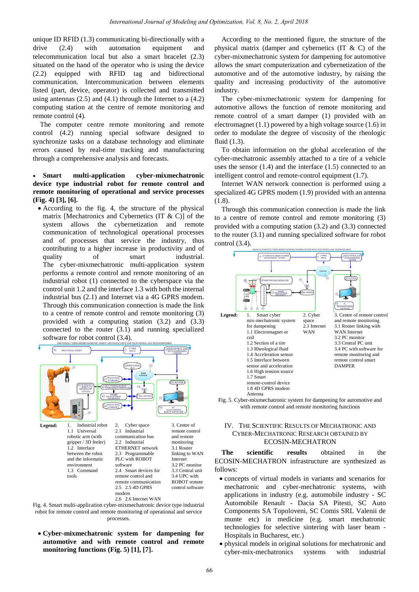unique ID RFID (1.3) communicating bi-directionally with a drive (2.4) with automation equipment and telecommunication local but also a smart bracelet (2.3) situated on the hand of the operator who is using the device (2.2) equipped with RFID tag and bidirectional communication. Intercommunication between elements listed (part, device, operator) is collected and transmitted using antennas (2.5) and (4.1) through the Internet to a (4.2) computing station at the centre of remote monitoring and remote control (4).

The computer centre remote monitoring and remote control (4.2) running special software designed to synchronize tasks on a database technology and eliminate errors caused by real-time tracking and manufacturing through a comprehensive analysis and forecasts.

## **Smart multi-application cyber-mixmechatronic device type industrial robot for remote control and remote monitoring of operational and service processes (Fig. 4) [3], [6].**

 According to the fig. 4, the structure of the physical matrix [Mechatronics and Cybernetics  $(IT & C)$ ] of the system allows the cybernetization and remote communication of technological operational processes and of processes that service the industry, thus contributing to a higher increase in productivity and of quality of smart industrial. The cyber-mixmechatronic multi-application system performs a remote control and remote monitoring of an industrial robot (1) connected to the cyberspace via the control unit 1.2 and the interface 1.3 with both the internal industrial bus (2.1) and Internet via a 4G GPRS modem. Through this communication connection is made the link to a centre of remote control and remote monitoring (3) provided with a computing station (3.2) and (3.3) connected to the router (3.1) and running specialized software for robot control (3.4).



Fig. 4. Smart multi-application cyber-mixmechatronic device type industrial robot for remote control and remote monitoring of operational and service processes.

 **Cyber-mixmechatronic system for dampening for automotive and with remote control and remote monitoring functions (Fig. 5) [1], [7].** 

According to the mentioned figure, the structure of the physical matrix (damper and cybernetics (IT  $&$  C) of the cyber-mixmechatronic system for dampening for automotive allows the smart computerization and cybernetization of the automotive and of the automotive industry, by raising the quality and increasing productivity of the automotive industry.

The cyber-mixmechatronic system for dampening for automotive allows the function of remote monitoring and remote control of a smart damper (1) provided with an electromagnet (1.1) powered by a high voltage source (1.6) in order to modulate the degree of viscosity of the rheologic fluid (1.3).

To obtain information on the global acceleration of the cyber-mechatronic assembly attached to a tire of a vehicle uses the sensor (1.4) and the interface (1.5) connected to an intelligent control and remote-control equipment (1.7).

Internet WAN network connection is performed using a specialized 4G GPRS modem (1.9) provided with an antenna (1.8).

Through this communication connection is made the link to a centre of remote control and remote monitoring (3) provided with a computing station (3.2) and (3.3) connected to the router (3.1) and running specialized software for robot control (3.4).





# IV. THE SCIENTIFIC RESULTS OF MECHATRONIC AND CYBER-MECHATRONIC RESEARCH OBTAINED BY ECOSIN-MECHATRON

**The scientific results** obtained in the ECOSIN-MECHATRON infrastructure are synthesized as follows:

- concepts of virtual models in variants and scenarios for mechatronic and cyber-mechatronic systems, with applications in industry (e.g. automobile industry - SC Automobile Renault - Dacia SA Pitesti, SC Auto Components SA Topoloveni, SC Comis SRL Valenii de munte etc) in medicine (e.g. smart mechatronic technologies for selective sintering with laser beam - Hospitals in Bucharest, etc.)
- physical models in original solutions for mechatronic and cyber-mix-mechatronics systems with industrial